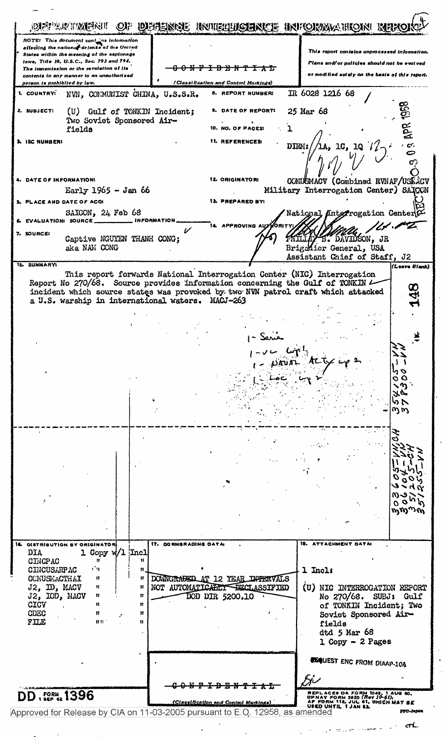DEFARTMENT OF DEENSE INTELLICENCE INFORMATION N NOTE: This document contra information<br>affecting the national defense of the United This report contains unprocessed information States within the meaning of the espionage laws, Title 18, U.S.C., Sec. 793 and 794. Plans and/or policies should not be evolved The transmission or the revelation of its <del>-0 N F I D B N T I A L</del> or modified solely on the basis of this report. contents in any manner to an unauthorized person is prohibited by law. (Classification and Control Markings) COUNTRY: NVN, COMMUNIST CHINA, U.S.S.R. 8. REPORT NUMBER: IR 6028 1216 68 (U) Gulf of TONKIN Incident; 2. SUBJECT: 9. DATE OF REPORTI 25 Mar 68 Two Soviet Sponsored Air-10. NO. OF PAGES:  $\mathbf{I}$ fields 3. ISC NUMBER: **11. REFERENCES:** DIRM: 10, 10  $\frac{1}{2}$ /la, 4. DATE OF INFORMATION: 12. ORIGINATOR: COMUSMACV (Combined RVNAF/USE ACV Early  $1965 -$  Jan 66 Military Interrogation Center) SAICON  $\mathbb{Z}^2$ 13. PREPARED BY: PLACE AND DATE OF ACQ: National Unterrogation Center SAIGON, 24 Feb 68 EVALUATION: SOURCE. INFORMATION APPROVING AUX ORI '/\*  $\boldsymbol{\nu}$ SOURCE: Captive NGUYEN THANH CONG; DAVIDSON, JR aka NAM CONG Brigadier General, USA Assistant Chief of Staff, J2 15. SUMMARYS (Leave Blank) This report forwards National Interrogation Center (NIC) Interrogation Report No 270/68. Source provides information concerning the Gulf of TONKIN  $\prime$ incident which source states was provoked by two NVN patrol craft which attacked ಳ a U.S. warship in international waters. MACJ-263 ≛ ^) オピ らい  $\omega \omega$ e-m r r  $\mathfrak{o}\circ$ ᡢᢅᡢ᠉ᠬᢅ 16. DISTRIBUTION BY ORIGINATOR 17. DOWNGRADING DATA **18. ATTACHMENT DATAS** 1 Copy w/1 Incl **DIA CINCPAC** ń  $\mathbf{u}$ rМ **CINCUSARPAC**  $\mathbf{H}$ 1 Incls  $\mathsf{I}$ DOWNGRADED AT 12 YEAR INTERVALS COMUSMACTHAI  $\boldsymbol{u}$  $\mathbf{r}$ J2, ID, MACV NOT AUTOMATICALLY DECLASSIFIED  $\mathbf{a}$  $\mathbf{B}$ (U) NIC INTERROGATION REPORT J2, IOD, MACV  $\mathbf{n}$  $\mathbf{H}$ DOD DIR 5200.10 No 270/68. SUBJ: Gulf CICV  $\mathbf{u}$  $\mathbf{H}$ of TONKIN Incident; Two CDEC  $\mathbf{n}$ -11 Soviet Sponsored Air- $F \times E$  $0.91$  $\mathbf{u}$ fields dtd 5 Mar 68  $1$  Copy - 2 Pages **REQUEST ENC FROM DIAAP-10A** <del>0 N F I D E N</del> <del>ግ፤አር</del> REPLACES DA FORM 1048, 1 AUG 60, OPNAV FORM 3820 (Rev 10-61),<br>AF FORM 112, JUL 61, WHICH MAY BE<br>USED UNTIL 1 JAN 63. **DD**, FORM, 1396 <u>(Classification and Control Markings)</u> PPC-Jap Approved for Release by CIA on 11-03-2005 pursuant to E.O. 12958, as amended mL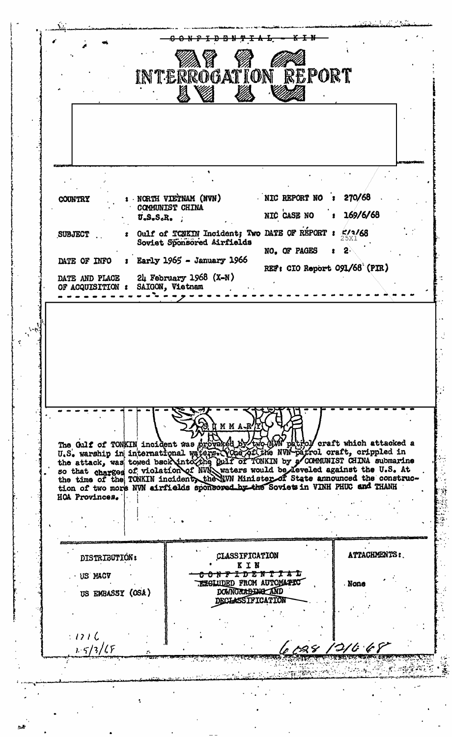$K + W$ <del>D B N Y I A</del>  $\pm$ INTERROGATION REPORT NIC REPORT NO  $\sqrt{270/68}$ NORTH VIETNAM (NVN) **COUNTRY** COMMUNIST CHINA NIC CASE NO 169/6/68  $U_oS_oS_oR_o$ Gulf of TCNKIN Incident; Two DATE OF RÉPORT :  $2/3/68$ **SUBJECT** Soviet Sponsored Airfields NO. OF PAGES  $\mathbf{S}$  $:$  Early 1965 - January 1966 DATE OF INFO REF: CIO Report 091/68 (PIR) DATE AND PLACE  $2\mu$  February 1968 (X-N) OF ACQUISITION : SAIGON, Vietnam The Gulf of TONKIN incident was proved by two OWN patrol craft which attacked a<br>U.S. warship in international waters. Yone Affine NW-patrol craft, crippled in<br>the attack, was towed back into the Gulf of TONKIN by a COMMUNI tion of two more NVN airfields sponsoved by the Soviets in VINH PHUC and THANH HOA Provinces. ATTACHMENTS: CLASSIFICATION DISTRIBUTION: KIN 0 N P I D B N T I A L · US MACV **EXCLUDED FROM AUTOMATIC** . None DOWNGRAPENE AND US EMBASSY (OSA) DECLASSIFICATION  $:121C$  $1.5/3/65$ g riya